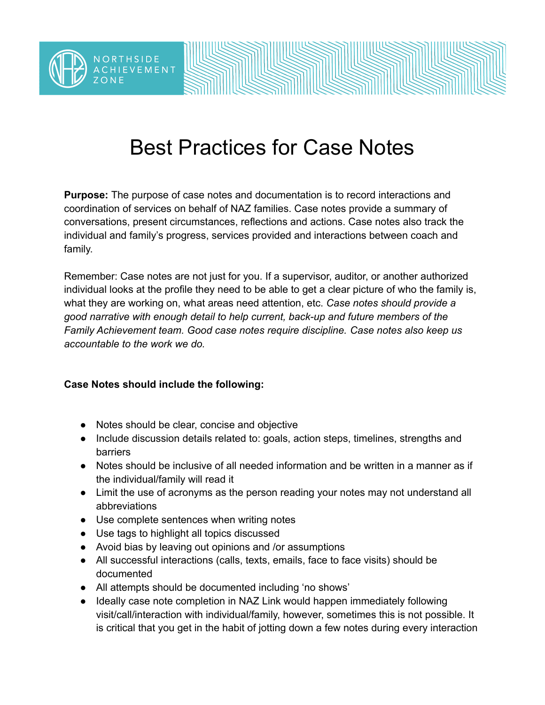

## Best Practices for Case Notes

**Purpose:** The purpose of case notes and documentation is to record interactions and coordination of services on behalf of NAZ families. Case notes provide a summary of conversations, present circumstances, reflections and actions. Case notes also track the individual and family's progress, services provided and interactions between coach and family.

Remember: Case notes are not just for you. If a supervisor, auditor, or another authorized individual looks at the profile they need to be able to get a clear picture of who the family is, what they are working on, what areas need attention, etc. *Case notes should provide a good narrative with enough detail to help current, back-up and future members of the Family Achievement team. Good case notes require discipline. Case notes also keep us accountable to the work we do.*

## **Case Notes should include the following:**

- Notes should be clear, concise and objective
- Include discussion details related to: goals, action steps, timelines, strengths and barriers
- Notes should be inclusive of all needed information and be written in a manner as if the individual/family will read it
- Limit the use of acronyms as the person reading your notes may not understand all abbreviations
- Use complete sentences when writing notes
- Use tags to highlight all topics discussed
- Avoid bias by leaving out opinions and /or assumptions
- All successful interactions (calls, texts, emails, face to face visits) should be documented
- All attempts should be documented including 'no shows'
- Ideally case note completion in NAZ Link would happen immediately following visit/call/interaction with individual/family, however, sometimes this is not possible. It is critical that you get in the habit of jotting down a few notes during every interaction